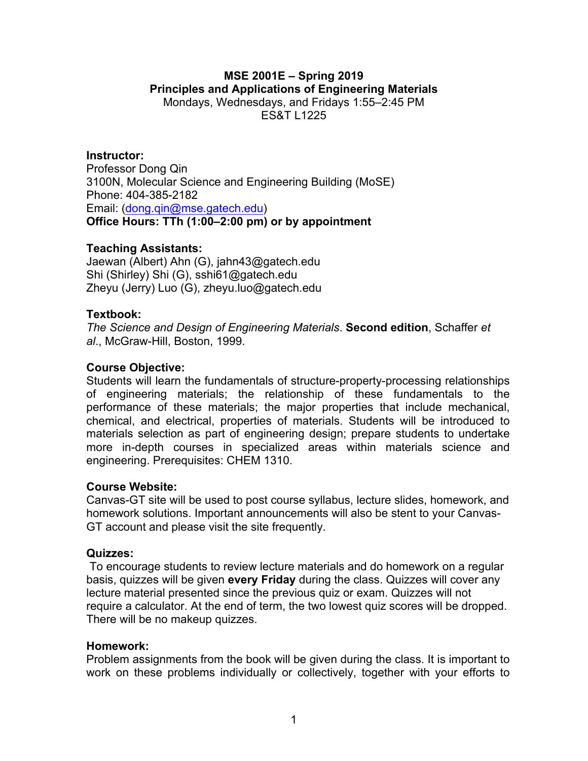#### **MSE 2001E – Spring 2019 Principles and Applications of Engineering Materials** Mondays, Wednesdays, and Fridays 1:55–2:45 PM ES&T L1225

### **Instructor:**

Professor Dong Qin 3100N, Molecular Science and Engineering Building (MoSE) Phone: 404-385-2182 Email: (dong.qin@mse.gatech.edu) **Office Hours: TTh (1:00–2:00 pm) or by appointment**

#### **Teaching Assistants:**

Jaewan (Albert) Ahn (G), jahn43@gatech.edu Shi (Shirley) Shi (G), sshi61@gatech.edu Zheyu (Jerry) Luo (G), zheyu.luo@gatech.edu

#### **Textbook:**

*The Science and Design of Engineering Materials*. **Second edition**, Schaffer *et al*., McGraw-Hill, Boston, 1999.

#### **Course Objective:**

Students will learn the fundamentals of structure-property-processing relationships of engineering materials; the relationship of these fundamentals to the performance of these materials; the major properties that include mechanical, chemical, and electrical, properties of materials. Students will be introduced to materials selection as part of engineering design; prepare students to undertake more in-depth courses in specialized areas within materials science and engineering. Prerequisites: CHEM 1310.

#### **Course Website:**

Canvas-GT site will be used to post course syllabus, lecture slides, homework, and homework solutions. Important announcements will also be stent to your Canvas-GT account and please visit the site frequently.

#### **Quizzes:**

To encourage students to review lecture materials and do homework on a regular basis, quizzes will be given **every Friday** during the class. Quizzes will cover any lecture material presented since the previous quiz or exam. Quizzes will not require a calculator. At the end of term, the two lowest quiz scores will be dropped. There will be no makeup quizzes.

#### **Homework:**

Problem assignments from the book will be given during the class. It is important to work on these problems individually or collectively, together with your efforts to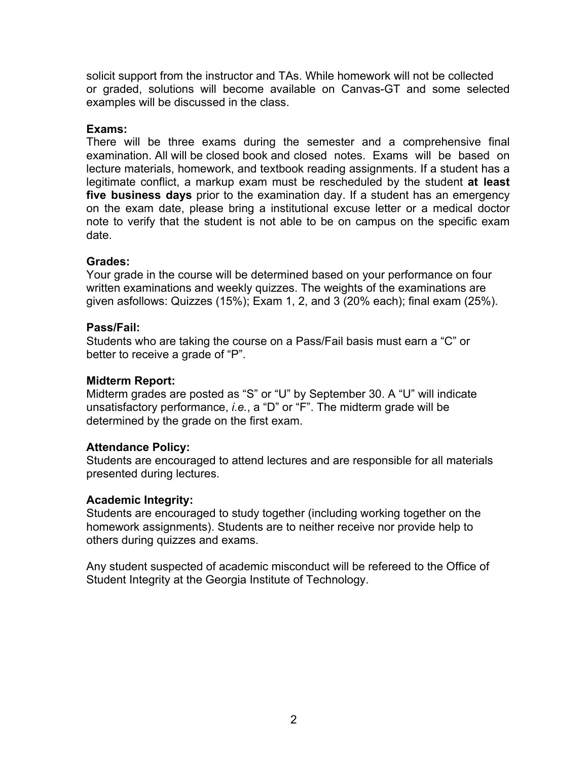solicit support from the instructor and TAs. While homework will not be collected or graded, solutions will become available on Canvas-GT and some selected examples will be discussed in the class.

## **Exams:**

There will be three exams during the semester and a comprehensive final examination. All will be closed book and closed notes. Exams will be based on lecture materials, homework, and textbook reading assignments. If a student has a legitimate conflict, a markup exam must be rescheduled by the student **at least five business days** prior to the examination day. If a student has an emergency on the exam date, please bring a institutional excuse letter or a medical doctor note to verify that the student is not able to be on campus on the specific exam date.

## **Grades:**

Your grade in the course will be determined based on your performance on four written examinations and weekly quizzes. The weights of the examinations are given asfollows: Quizzes (15%); Exam 1, 2, and 3 (20% each); final exam (25%).

## **Pass/Fail:**

Students who are taking the course on a Pass/Fail basis must earn a "C" or better to receive a grade of "P".

## **Midterm Report:**

Midterm grades are posted as "S" or "U" by September 30. A "U" will indicate unsatisfactory performance, *i.e.*, a "D" or "F". The midterm grade will be determined by the grade on the first exam.

## **Attendance Policy:**

Students are encouraged to attend lectures and are responsible for all materials presented during lectures.

## **Academic Integrity:**

Students are encouraged to study together (including working together on the homework assignments). Students are to neither receive nor provide help to others during quizzes and exams.

Any student suspected of academic misconduct will be refereed to the Office of Student Integrity at the Georgia Institute of Technology.